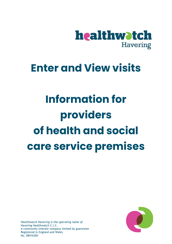

# **Enter and View visits**

# **Information for providers of health and social care service premises**



*Healthwatch Havering is the operating name of* Havering Healthwatch C.I.C. A community interest company limited by guarantee Registered in England and Wales No. 08416383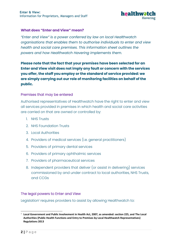

# **What does "Enter and View" mean?**

*"Enter and View" is a power conferred by law on local Healthwatch organisations that enables them to authorise individuals to enter and view health and social care premises. This information sheet outlines the powers and how Healthwatch Havering implements them.*

**Please note that the fact that your premises have been selected for an Enter and View visit does not imply any fault or concern with the services you offer, the staff you employ or the standard of service provided: we are simply carrying out our role of monitoring facilities on behalf of the public.**

## Premises that may be entered

Authorised representatives of Healthwatch have the right to enter and view all services provided in premises in which health and social care activities are carried on that are owned or controlled by:

- 1. NHS Trusts
- 2. NHS Foundation Trusts
- 3. Local Authorities
- 4. Providers of medical services (i.e. general practitioners)
- 5. Providers of primary dental services
- 6. Providers of primary ophthalmic services
- 7. Providers of pharmaceutical services
- 8. Independent providers that deliver (or assist in delivering) services commissioned by and under contract to local authorities, NHS Trusts, and CCGs

# The legal powers to Enter and View

Legislation<sup>1</sup> requires providers to assist by allowing Healthwatch to:

<sup>1</sup> **Local Government and Public Involvement in Health Act, 2007, as amended: section 225, and The Local Authorities (Public Health Functions and Entry to Premises by Local Healthwatch Representatives) Regulations 2013**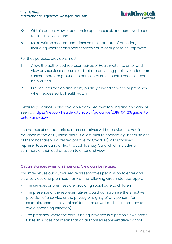

- ❖ Obtain patient views about their experiences of, and perceived need for, local services and
- ❖ Make written recommendations on the standard of provision, including whether and how services could or ought to be improved.

For that purpose, providers must:

- 1. Allow the authorised representatives of Healthwatch to enter and view any services or premises that are providing publicly funded care (unless there are grounds to deny entry on a specific occasion: see below) and
- 2. Provide information about any publicly funded services or premises when requested by Healthwatch

Detailed guidance is also available from Healthwatch England and can be seen at [https://network.healthwatch.co.uk/guidance/2019-04-23/guide-to](https://network.healthwatch.co.uk/guidance/2019-04-23/guide-to-enter-and-view)[enter-and-view](https://network.healthwatch.co.uk/guidance/2019-04-23/guide-to-enter-and-view) 

The names of our authorised representatives will be provided to you in advance of the visit (unless there is a last minute change, e.g. because one of them has fallen ill or tested positive for Covid-19). All authorised representatives carry a Healthwatch Identity Card which includes a summary of their authorisation to enter and view.

#### Circumstances when an Enter and View can be refused

You may refuse our authorised representatives permission to enter and view services and premises if any of the following circumstances apply:

- The services or premises are providing social care to children
- The presence of the representatives would compromise the effective provision of a service or the privacy or dignity of any person (for example, because several residents are unwell and it is necessary to avoid spreading infection)
- The premises where the care is being provided is a person's own home (Note: this does not mean that an authorised representative cannot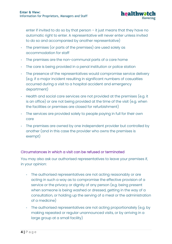

enter if invited to do so by that person – it just means that they have no automatic right to enter. A representative will never enter unless invited to do so and accompanied by another representative)

- The premises (or parts of the premises) are used solely as accommodation for staff
- The premises are the non-communal parts of a care home
- The care is being provided in a penal institution or police station
- The presence of the representatives would compromise service delivery (e.g. if a major incident resulting in significant numbers of casualties occurred during a visit to a hospital accident and emergency department)
- Health and social care services are not provided at the premises (e.g. it is an office) or are not being provided at the time of the visit (e.g. when the facilities or premises are closed for refurbishment)
- The services are provided solely to people paying in full for their own care
- The premises are owned by one independent provider but controlled by another (and in this case the provider who owns the premises is exempt)

# Circumstances in which a visit can be refused or terminated

You may also ask our authorised representatives to leave your premises if, in your opinion:

- The authorised representatives are not acting reasonably or are acting in such a way as to compromise the effective provision of a service or the privacy or dignity of any person (e.g. being present when someone is being washed or dressed, getting in the way of a consultation, or holding up the serving of a meal or the administration of a medicine)
- The authorised representatives are not acting proportionately (e.g. by making repeated or regular unannounced visits, or by arriving in a large group at a small facility)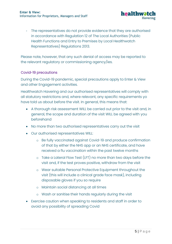

- The representatives do not provide evidence that they are authorised in accordance with Regulation 12 of The Local Authorities (Public Health Functions and Entry to Premises by Local Healthwatch Representatives) Regulations 2013.

Please note, however, that any such denial of access may be reported to the relevant regulatory or commissioning agency/ies.

# Covid-19 precautions

During the Covid-19 pandemic, special precautions apply to Enter & View and other Engagement activities.

Healthwatch Havering and our authorised representatives will comply with all statutory restrictions and, where relevant, any specific requirements yo have told us about before the visit. In general, this means that:

- A thorough risk assessment WILL be carried out prior to the visit and, in general, the scope and duration of the visit WILL be agreed with you beforehand
- No more than two authorised representatives carry out the visit
- Our authorised representatives WILL:
	- o Be fully vaccinated against Covid-19 and produce confirmation of that by either the NHS app or an NHS certificate, and have received a flu vaccination within the past twelve months
	- o Take a Lateral Flow Test (LFT) no more than two days before the visit and, if the test proves positive, withdraw from the visit
	- o Wear suitable Personal Protective Equipment throughout the visit (this will include a clinical grade face mask), including disposable gloves if you so require
	- o Maintain social distancing at all times
	- o Wash or sanitise their hands regularly during the visit
- Exercise caution when speaking to residents and staff in order to avoid any possibility of spreading Covid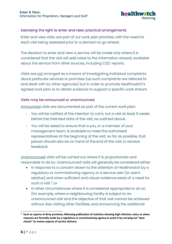

# Exercising the right to enter and view: practical arrangements

Enter and view visits are part of our work plan priorities, with the need for each visit being assessed prior to a decision to go ahead.

The decision to enter and view a service will be made only where it is considered that the visit will add value to the information already available about the service from other sources, including CQC reports.

Visits are not arranged as a means of investigating individual complaints about particular services or premises (as such complaints are referred to and dealt with by other agencies) but in order to promote Healthwatch's agreed work plan or to obtain evidence to support a specific work stream.

# Visits may be announced or unannounced.

Announced visits are documented as part of the current work plan:

- You will be notified of the intention to carry out a visit at least 6 weeks before the intended date of the visit, as outlined above.
- You will be asked to ensure that a you, or a member of your management team, is available to meet the authorised representatives at the beginning of the visit; so far as possible, that person should also be on hand at the end of the visit, to receive feedback.

Unannounced visits will be carried out where it is proportionate and reasonable to do so. Unannounced visits will generally be considered either:

- In response to a concern drawn to the attention of Healthwatch by a regulatory or commissioning agency or a service user (or user's relative) and when sufficient and robust evidence exists of a need for such a visit <sup>2</sup>, or
- In other circumstances where it is considered appropriate to do so (for example, where a neighbouring facility is subject to an unannounced visit and the objective of that visit cannot be achieved without also visiting other facilities, and announcing the additional

**<sup>2</sup> Such as reports of dirty premises; following publication of statistics showing high infection rates; or when requests are formally made by a regulatory or commissioning agency to assist it by carrying out "spot checks" to review aspects of service delivery**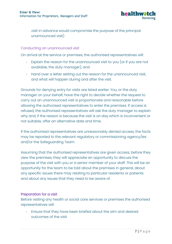

visit in advance would compromise the purpose of the principal unannounced visit)

## Conducting an unannounced visit

On arrival at the service or premises, the authorised representatives will:

- Explain the reason for the unannounced visit to you (or if you are not available, the duty manager), and
- Hand over a letter setting out the reason for the unannounced visit, and what will happen during and after the visit.

Grounds for denying entry for visits are listed earlier. You, or the duty manager on your behalf, have the right to decide whether the request to carry out an unannounced visit is proportionate and reasonable before allowing the authorised representatives to enter the premises. If access is refused, the authorised representatives will ask the duty manager to explain why and, if the reason is because the visit is on day which is inconvenient or not suitable, offer an alternative date and time.

If the authorised representatives are unreasonably denied access, the facts may be reported to the relevant regulatory or commissioning agency/ies and/or the Safeguarding Team.

Assuming that the authorised representatives are given access, before they view the premises, they will appreciate an opportunity to discuss the purpose of the visit with you or a senior member of your staff. This will be an opportunity for the team to be told about the premises in general, about any specific issues there may relating to particular residents or patients and about any issues that they need to be aware of.

#### Preparation for a visit

Before visiting any health or social care services or premises the authorised representatives will:

Ensure that they have been briefed about the aim and desired outcomes of the visit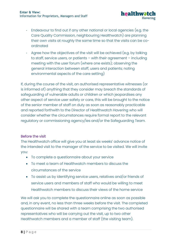

- Endeavour to find out if any other national or local agencies (e.g. the Care Quality Commission, neighbouring Healthwatch) are planning their own visits at roughly the same time so that the visits can be coordinated
- Agree how the objectives of the visit will be achieved (e.g. by talking to staff, service users, or patients – with their agreement – including meeting with the user forum (where one exists); observing the general interaction between staff, users and patients; noting environmental aspects of the care setting)

If, during the course of the visit, an authorised representative witnesses (or is informed of) anything that they consider may breach the standards of safeguarding of vulnerable adults or children or which jeopardises any other aspect of service user safety or care, this will be brought to the notice of the senior member of staff on duty as soon as reasonably practicable and reported forthwith to the Director of Healthwatch Havering who will consider whether the circumstances require formal report to the relevant regulatory or commissioning agency/ies and/or the Safeguarding Team.

# Before the visit

The Healthwatch office will give you at least six weeks' advance notice of the intended visit to the manager of the service to be visited. We will invite you:

- To complete a questionnaire about your service
- To meet a team of Healthwatch members to discuss the circumstances of the service
- To assist us by identifying service users, relatives and/or friends of service users and members of staff who would be willing to meet Healthwatch members to discuss their views of the home service

We will ask you to complete the questionnaire online as soon as possible and, in any event, no less than three weeks before the visit. The completed questionnaire will be shared with a team comprising the two authorised representatives who will be carrying out the visit, up to two other Healthwatch members and a member of staff (the visiting team).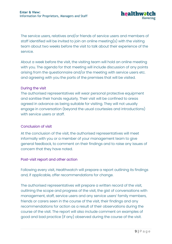

The service users, relatives and/or friends of service users and members of staff identified will be invited to join an online meeting(s) with the visiting team about two weeks before the visit to talk about their experience of the service.

About a week before the visit, the visiting team will hold an online meeting with you. The agenda for that meeting will include discussion of any points arising from the questionnaire and/or the meeting with service users etc. and agreeing with you the parts of the premises that will be visited.

# During the visit

The authorised representatives will wear personal protective equipment and sanitise their hands regularly. Their visit will be confined to areas agreed in advance as being suitable for visiting. They will not usually engage in conversation (beyond the usual courtesies and introductions) with service users or staff.

# Conclusion of visit

At the conclusion of the visit, the authorised representatives will meet informally with you or a member of your management team to give general feedback, to comment on their findings and to raise any issues of concern that they have noted.

# Post-visit report and other action

Following every visit, Healthwatch will prepare a report outlining its findings and, if applicable, offer recommendations for change.

The authorised representatives will prepare a written record of the visit, outlining the scope and progress of the visit, the gist of conversations with management, staff, service users and any service users' family members, friends or carers seen in the course of the visit, their findings and any recommendations for action as a result of their observations during the course of the visit. The report will also include comment on examples of good and bad practice (if any) observed during the course of the visit.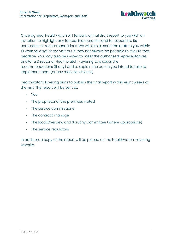

Once agreed, Healthwatch will forward a final draft report to you with an invitation to highlight any factual inaccuracies and to respond to its comments or recommendations. We will aim to send the draft to you within 10 working days of the visit but it may not always be possible to stick to that deadline. You may also be invited to meet the authorised representatives and/or a Director of Healthwatch Havering to discuss the recommendations (if any) and to explain the action you intend to take to implement them (or any reasons why not).

Healthwatch Havering aims to publish the final report within eight weeks of the visit. The report will be sent to:

- You
- The proprietor of the premises visited
- The service commissioner
- The contract manager
- The local Overview and Scrutiny Committee (where appropriate)
- The service regulators

In addition, a copy of the report will be placed on the Healthwatch Havering website.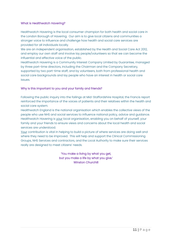#### What is Healthwatch Havering?

Healthwatch Havering is the local consumer champion for both health and social care in the London Borough of Havering. Our aim is to give local citizens and communities a stronger voice to influence and challenge how health and social care services are provided for all individuals locally.

We are an independent organisation, established by the Health and Social Care Act 2012, and employ our own staff and involve lay people/volunteers so that we can become the influential and effective voice of the public.

Healthwatch Havering is a Community Interest Company Limited by Guarantee, managed by three part-time directors, including the Chairman and the Company Secretary, supported by two part-time staff, and by volunteers, both from professional health and social care backgrounds and lay people who have an interest in health or social care issues.

#### Why is this important to you and your family and friends?

Following the public inquiry into the failings at Mid-Staffordshire Hospital, the Francis report reinforced the importance of the voices of patients and their relatives within the health and social care system.

Healthwatch England is the national organisation which enables the collective views of the people who use NHS and social services to influence national policy, advice and guidance. Healthwatch Havering is your local organisation, enabling you on behalf of yourself, your family and your friends to ensure views and concerns about the local health and social services are understood.

Your contribution is vital in helping to build a picture of where services are doing well and where they need to be improved. This will help and support the Clinical Commissioning Groups, NHS Services and contractors, and the Local Authority to make sure their services really are designed to meet citizens' needs.

> 'You make a living by what you get, but you make a life by what you give.' Winston Churchill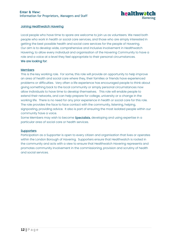

#### Joining Healthwatch Havering

Local people who have time to spare are welcome to join us as volunteers. We need both people who work in health or social care services, and those who are simply interested in getting the best possible health and social care services for the people of Havering. Our aim is to develop wide, comprehensive and inclusive involvement in Healthwatch Havering, to allow every individual and organisation of the Havering Community to have a role and a voice at a level they feel appropriate to their personal circumstances. We are looking for:

#### **Members**

This is the key working role. For some, this role will provide an opportunity to help improve an area of health and social care where they, their families or friends have experienced problems or difficulties. Very often a life experience has encouraged people to think about giving something back to the local community or simply personal circumstances now allow individuals to have time to develop themselves. This role will enable people to extend their networks, and can help prepare for college, university or a change in the working life. There is no need for any prior experience in health or social care for this role. The role provides the face to face contact with the community, listening, helping, signposting, providing advice. It also is part of ensuring the most isolated people within our community have a voice.

Some Members may wish to become **Specialists**, developing and using expertise in a particular area of social care or health services.

#### **Supporters**

Participation as a Supporter is open to every citizen and organisation that lives or operates within the London Borough of Havering. Supporters ensure that Healthwatch is rooted in the community and acts with a view to ensure that Healthwatch Havering represents and promotes community involvement in the commissioning, provision and scrutiny of health and social services.